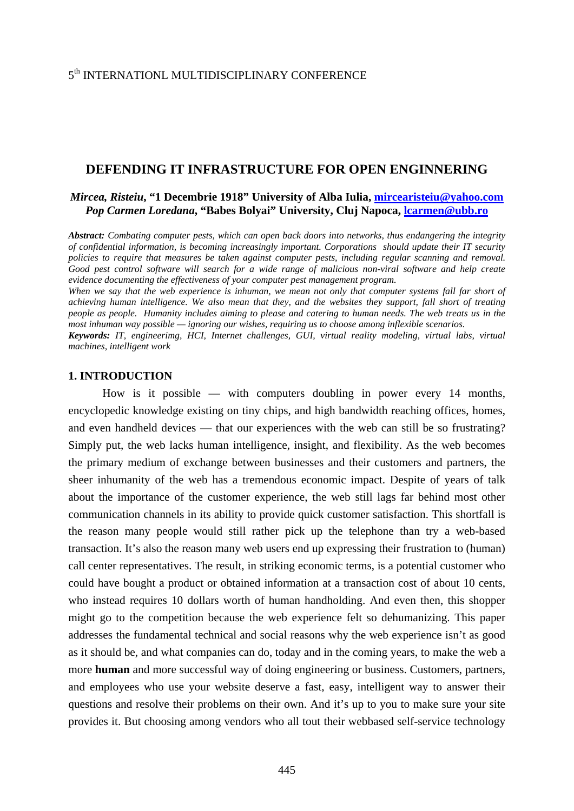# **DEFENDING IT INFRASTRUCTURE FOR OPEN ENGINNERING**

## *Mircea, Risteiu***, "1 Decembrie 1918" University of Alba Iulia, [mircearisteiu@yahoo.com](mailto:mircearisteiu@yahoo.com)** *Pop Carmen Loredana***, "Babes Bolyai" University, Cluj Napoca, [lcarmen@ubb.ro](mailto:lcarmen@ubb.ro)**

*Abstract: Combating computer pests, which can open back doors into networks, thus endangering the integrity of confidential information, is becoming increasingly important. Corporations should update their IT security policies to require that measures be taken against computer pests, including regular scanning and removal. Good pest control software will search for a wide range of malicious non-viral software and help create evidence documenting the effectiveness of your computer pest management program.* 

*When we say that the web experience is inhuman, we mean not only that computer systems fall far short of achieving human intelligence. We also mean that they, and the websites they support, fall short of treating people as people. Humanity includes aiming to please and catering to human needs. The web treats us in the most inhuman way possible — ignoring our wishes, requiring us to choose among inflexible scenarios.* 

*Keywords: IT, engineerimg, HCI, Internet challenges, GUI, virtual reality modeling, virtual labs, virtual machines, intelligent work* 

#### **1. INTRODUCTION**

How is it possible — with computers doubling in power every 14 months, encyclopedic knowledge existing on tiny chips, and high bandwidth reaching offices, homes, and even handheld devices — that our experiences with the web can still be so frustrating? Simply put, the web lacks human intelligence, insight, and flexibility. As the web becomes the primary medium of exchange between businesses and their customers and partners, the sheer inhumanity of the web has a tremendous economic impact. Despite of years of talk about the importance of the customer experience, the web still lags far behind most other communication channels in its ability to provide quick customer satisfaction. This shortfall is the reason many people would still rather pick up the telephone than try a web-based transaction. It's also the reason many web users end up expressing their frustration to (human) call center representatives. The result, in striking economic terms, is a potential customer who could have bought a product or obtained information at a transaction cost of about 10 cents, who instead requires 10 dollars worth of human handholding. And even then, this shopper might go to the competition because the web experience felt so dehumanizing. This paper addresses the fundamental technical and social reasons why the web experience isn't as good as it should be, and what companies can do, today and in the coming years, to make the web a more **human** and more successful way of doing engineering or business. Customers, partners, and employees who use your website deserve a fast, easy, intelligent way to answer their questions and resolve their problems on their own. And it's up to you to make sure your site provides it. But choosing among vendors who all tout their webbased self-service technology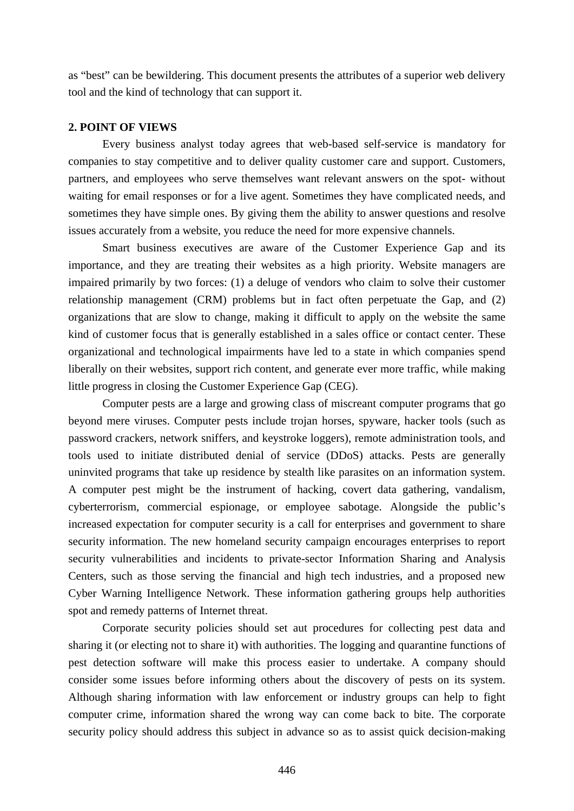as "best" can be bewildering. This document presents the attributes of a superior web delivery tool and the kind of technology that can support it.

### **2. POINT OF VIEWS**

Every business analyst today agrees that web-based self-service is mandatory for companies to stay competitive and to deliver quality customer care and support. Customers, partners, and employees who serve themselves want relevant answers on the spot- without waiting for email responses or for a live agent. Sometimes they have complicated needs, and sometimes they have simple ones. By giving them the ability to answer questions and resolve issues accurately from a website, you reduce the need for more expensive channels.

Smart business executives are aware of the Customer Experience Gap and its importance, and they are treating their websites as a high priority. Website managers are impaired primarily by two forces: (1) a deluge of vendors who claim to solve their customer relationship management (CRM) problems but in fact often perpetuate the Gap, and (2) organizations that are slow to change, making it difficult to apply on the website the same kind of customer focus that is generally established in a sales office or contact center. These organizational and technological impairments have led to a state in which companies spend liberally on their websites, support rich content, and generate ever more traffic, while making little progress in closing the Customer Experience Gap (CEG).

Computer pests are a large and growing class of miscreant computer programs that go beyond mere viruses. Computer pests include trojan horses, spyware, hacker tools (such as password crackers, network sniffers, and keystroke loggers), remote administration tools, and tools used to initiate distributed denial of service (DDoS) attacks. Pests are generally uninvited programs that take up residence by stealth like parasites on an information system. A computer pest might be the instrument of hacking, covert data gathering, vandalism, cyberterrorism, commercial espionage, or employee sabotage. Alongside the public's increased expectation for computer security is a call for enterprises and government to share security information. The new homeland security campaign encourages enterprises to report security vulnerabilities and incidents to private-sector Information Sharing and Analysis Centers, such as those serving the financial and high tech industries, and a proposed new Cyber Warning Intelligence Network. These information gathering groups help authorities spot and remedy patterns of Internet threat.

Corporate security policies should set aut procedures for collecting pest data and sharing it (or electing not to share it) with authorities. The logging and quarantine functions of pest detection software will make this process easier to undertake. A company should consider some issues before informing others about the discovery of pests on its system. Although sharing information with law enforcement or industry groups can help to fight computer crime, information shared the wrong way can come back to bite. The corporate security policy should address this subject in advance so as to assist quick decision-making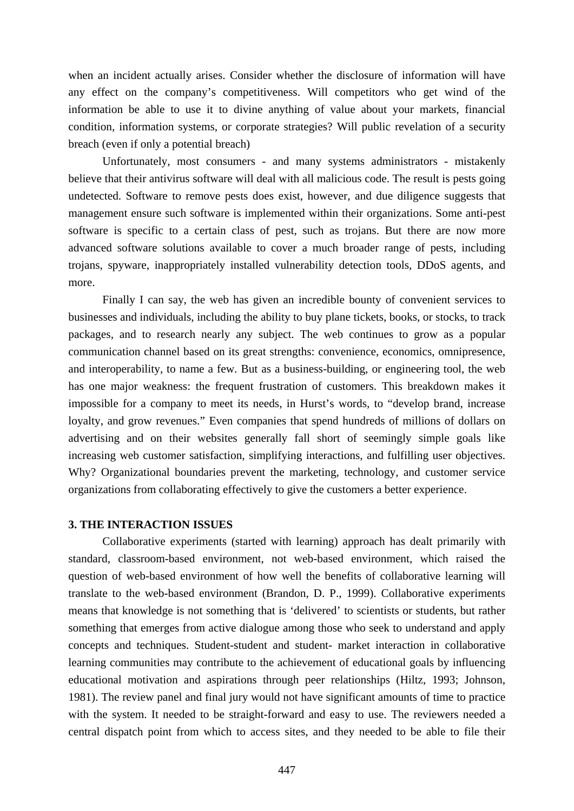when an incident actually arises. Consider whether the disclosure of information will have any effect on the company's competitiveness. Will competitors who get wind of the information be able to use it to divine anything of value about your markets, financial condition, information systems, or corporate strategies? Will public revelation of a security breach (even if only a potential breach)

Unfortunately, most consumers - and many systems administrators - mistakenly believe that their antivirus software will deal with all malicious code. The result is pests going undetected. Software to remove pests does exist, however, and due diligence suggests that management ensure such software is implemented within their organizations. Some anti-pest software is specific to a certain class of pest, such as trojans. But there are now more advanced software solutions available to cover a much broader range of pests, including trojans, spyware, inappropriately installed vulnerability detection tools, DDoS agents, and more.

Finally I can say, the web has given an incredible bounty of convenient services to businesses and individuals, including the ability to buy plane tickets, books, or stocks, to track packages, and to research nearly any subject. The web continues to grow as a popular communication channel based on its great strengths: convenience, economics, omnipresence, and interoperability, to name a few. But as a business-building, or engineering tool, the web has one major weakness: the frequent frustration of customers. This breakdown makes it impossible for a company to meet its needs, in Hurst's words, to "develop brand, increase loyalty, and grow revenues." Even companies that spend hundreds of millions of dollars on advertising and on their websites generally fall short of seemingly simple goals like increasing web customer satisfaction, simplifying interactions, and fulfilling user objectives. Why? Organizational boundaries prevent the marketing, technology, and customer service organizations from collaborating effectively to give the customers a better experience.

## **3. THE INTERACTION ISSUES**

Collaborative experiments (started with learning) approach has dealt primarily with standard, classroom-based environment, not web-based environment, which raised the question of web-based environment of how well the benefits of collaborative learning will translate to the web-based environment (Brandon, D. P., 1999). Collaborative experiments means that knowledge is not something that is 'delivered' to scientists or students, but rather something that emerges from active dialogue among those who seek to understand and apply concepts and techniques. Student-student and student- market interaction in collaborative learning communities may contribute to the achievement of educational goals by influencing educational motivation and aspirations through peer relationships (Hiltz, 1993; Johnson, 1981). The review panel and final jury would not have significant amounts of time to practice with the system. It needed to be straight-forward and easy to use. The reviewers needed a central dispatch point from which to access sites, and they needed to be able to file their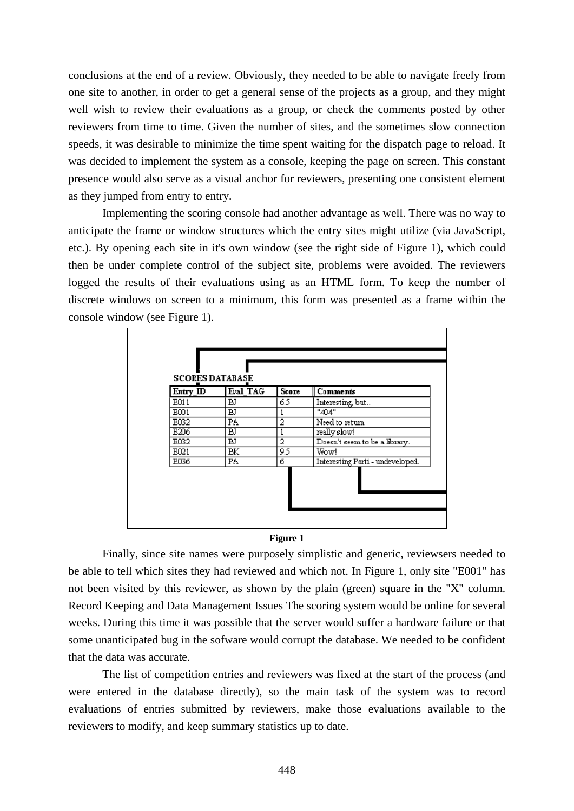conclusions at the end of a review. Obviously, they needed to be able to navigate freely from one site to another, in order to get a general sense of the projects as a group, and they might well wish to review their evaluations as a group, or check the comments posted by other reviewers from time to time. Given the number of sites, and the sometimes slow connection speeds, it was desirable to minimize the time spent waiting for the dispatch page to reload. It was decided to implement the system as a console, keeping the page on screen. This constant presence would also serve as a visual anchor for reviewers, presenting one consistent element as they jumped from entry to entry.

Implementing the scoring console had another advantage as well. There was no way to anticipate the frame or window structures which the entry sites might utilize (via JavaScript, etc.). By opening each site in it's own window (see the right side of Figure 1), which could then be under complete control of the subject site, problems were avoided. The reviewers logged the results of their evaluations using as an HTML form. To keep the number of discrete windows on screen to a minimum, this form was presented as a frame within the console window (see Figure 1).

| Entry_ID | Eval TAG  | Score | <b>Comments</b>                  |
|----------|-----------|-------|----------------------------------|
| E011     | <b>BJ</b> | 65    | Interesting, but                 |
| E001     | вJ        | 1     | "404"                            |
| E032     | PA        | 2     | Need to return                   |
| E206     | ΒJ        |       | really slow!                     |
| E032     | вJ        | 2     | Doesn't seem to be a library.    |
| E021     | BК        | 9.5   | Wow!                             |
| E036     | PA        | б     | Interesting Parti - undeveloped. |

#### **Figure 1**

Finally, since site names were purposely simplistic and generic, reviewsers needed to be able to tell which sites they had reviewed and which not. In Figure 1, only site "E001" has not been visited by this reviewer, as shown by the plain (green) square in the "X" column. Record Keeping and Data Management Issues The scoring system would be online for several weeks. During this time it was possible that the server would suffer a hardware failure or that some unanticipated bug in the sofware would corrupt the database. We needed to be confident that the data was accurate.

The list of competition entries and reviewers was fixed at the start of the process (and were entered in the database directly), so the main task of the system was to record evaluations of entries submitted by reviewers, make those evaluations available to the reviewers to modify, and keep summary statistics up to date.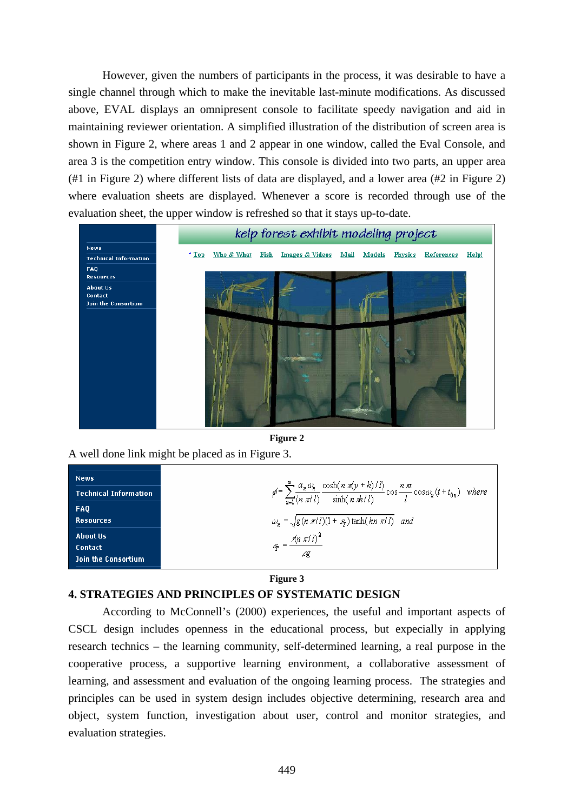However, given the numbers of participants in the process, it was desirable to have a single channel through which to make the inevitable last-minute modifications. As discussed above, EVAL displays an omnipresent console to facilitate speedy navigation and aid in maintaining reviewer orientation. A simplified illustration of the distribution of screen area is shown in Figure 2, where areas 1 and 2 appear in one window, called the Eval Console, and area 3 is the competition entry window. This console is divided into two parts, an upper area (#1 in Figure 2) where different lists of data are displayed, and a lower area (#2 in Figure 2) where evaluation sheets are displayed. Whenever a score is recorded through use of the evaluation sheet, the upper window is refreshed so that it stays up-to-date.



**Figure 2**

A well done link might be placed as in Figure 3.

| <b>News</b>                                       |                                                                                                                                                                                                 |
|---------------------------------------------------|-------------------------------------------------------------------------------------------------------------------------------------------------------------------------------------------------|
| <b>Technical Information</b>                      | $\label{eq:2} \rho' = \sum_{n=1}^{\infty} \frac{a_n \, \omega_n}{(n \pi l)} \frac{\cosh(n \pi (y + h)/l)}{\sinh(n \pi h/l)} \cos \frac{n \pi}{l} \cos \omega_n (t + t_{0n}) \quad \text{where}$ |
| <b>FAQ</b><br>Resources                           | $\omega_n = \sqrt{g(n \pi l)(1 + s_p)} \tanh(hn \pi l)$ and                                                                                                                                     |
| About Us<br><b>Contact</b><br>Join the Consortium | $\mathcal{L}_{\mathcal{F}} = \frac{\mathcal{N} \pi l}{l}$                                                                                                                                       |

## **Figure 3**

# **4. STRATEGIES AND PRINCIPLES OF SYSTEMATIC DESIGN**

According to McConnell's (2000) experiences, the useful and important aspects of CSCL design includes openness in the educational process, but expecially in applying research technics – the learning community, self-determined learning, a real purpose in the cooperative process, a supportive learning environment, a collaborative assessment of learning, and assessment and evaluation of the ongoing learning process. The strategies and principles can be used in system design includes objective determining, research area and object, system function, investigation about user, control and monitor strategies, and evaluation strategies.